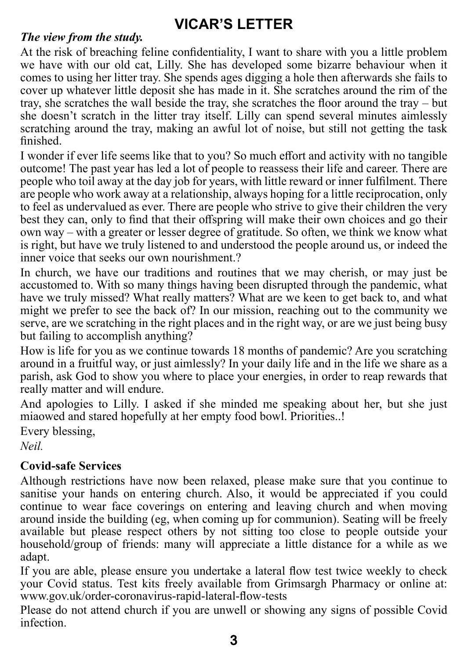## **VICAR'S LETTER**

### *The view from the study.*

At the risk of breaching feline confidentiality, I want to share with you a little problem we have with our old cat, Lilly. She has developed some bizarre behaviour when it comes to using her litter tray. She spends ages digging a hole then afterwards she fails to cover up whatever little deposit she has made in it. She scratches around the rim of the tray, she scratches the wall beside the tray, she scratches the floor around the tray – but she doesn't scratch in the litter tray itself. Lilly can spend several minutes aimlessly scratching around the tray, making an awful lot of noise, but still not getting the task finished.

I wonder if ever life seems like that to you? So much effort and activity with no tangible outcome! The past year has led a lot of people to reassess their life and career. There are people who toil away at the day job for years, with little reward or inner fulfilment. There are people who work away at a relationship, always hoping for a little reciprocation, only to feel as undervalued as ever. There are people who strive to give their children the very best they can, only to find that their offspring will make their own choices and go their own way – with a greater or lesser degree of gratitude. So often, we think we know what is right, but have we truly listened to and understood the people around us, or indeed the inner voice that seeks our own nourishment.?

In church, we have our traditions and routines that we may cherish, or may just be accustomed to. With so many things having been disrupted through the pandemic, what have we truly missed? What really matters? What are we keen to get back to, and what might we prefer to see the back of? In our mission, reaching out to the community we serve, are we scratching in the right places and in the right way, or are we just being busy but failing to accomplish anything?

How is life for you as we continue towards 18 months of pandemic? Are you scratching around in a fruitful way, or just aimlessly? In your daily life and in the life we share as a parish, ask God to show you where to place your energies, in order to reap rewards that really matter and will endure.

And apologies to Lilly. I asked if she minded me speaking about her, but she just miaowed and stared hopefully at her empty food bowl. Priorities..!

Every blessing,

*Neil.*

## **Covid-safe Services**

Although restrictions have now been relaxed, please make sure that you continue to sanitise your hands on entering church. Also, it would be appreciated if you could continue to wear face coverings on entering and leaving church and when moving around inside the building (eg, when coming up for communion). Seating will be freely available but please respect others by not sitting too close to people outside your household/group of friends: many will appreciate a little distance for a while as we adapt.

If you are able, please ensure you undertake a lateral flow test twice weekly to check your Covid status. Test kits freely available from Grimsargh Pharmacy or online at: www.gov.uk/order-coronavirus-rapid-lateral-flow-tests

Please do not attend church if you are unwell or showing any signs of possible Covid infection.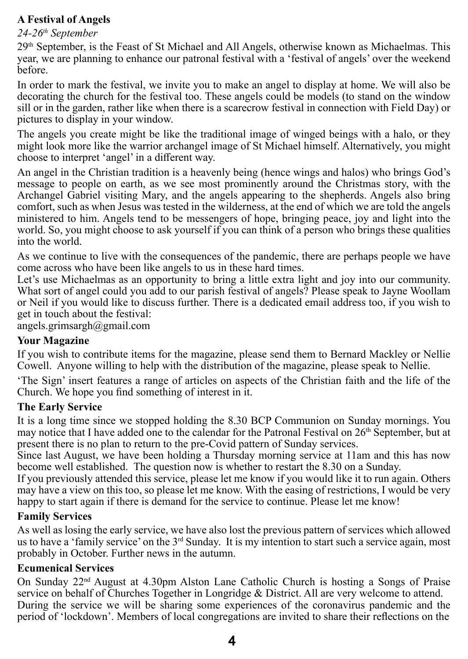#### **A Festival of Angels**

#### *24-26th September*

 $29<sup>th</sup>$  September, is the Feast of St Michael and All Angels, otherwise known as Michaelmas. This year, we are planning to enhance our patronal festival with a 'festival of angels' over the weekend before.

In order to mark the festival, we invite you to make an angel to display at home. We will also be decorating the church for the festival too. These angels could be models (to stand on the window sill or in the garden, rather like when there is a scarecrow festival in connection with Field Day) or pictures to display in your window.

The angels you create might be like the traditional image of winged beings with a halo, or they might look more like the warrior archangel image of St Michael himself. Alternatively, you might choose to interpret 'angel' in a different way.

An angel in the Christian tradition is a heavenly being (hence wings and halos) who brings God's message to people on earth, as we see most prominently around the Christmas story, with the Archangel Gabriel visiting Mary, and the angels appearing to the shepherds. Angels also bring comfort, such as when Jesus was tested in the wilderness, at the end of which we are told the angels ministered to him. Angels tend to be messengers of hope, bringing peace, joy and light into the world. So, you might choose to ask yourself if you can think of a person who brings these qualities into the world.

As we continue to live with the consequences of the pandemic, there are perhaps people we have come across who have been like angels to us in these hard times.

Let's use Michaelmas as an opportunity to bring a little extra light and joy into our community. What sort of angel could you add to our parish festival of angels? Please speak to Jayne Woollam or Neil if you would like to discuss further. There is a dedicated email address too, if you wish to get in touch about the festival:

angels.grimsargh@gmail.com

#### **Your Magazine**

If you wish to contribute items for the magazine, please send them to Bernard Mackley or Nellie Cowell. Anyone willing to help with the distribution of the magazine, please speak to Nellie.

'The Sign' insert features a range of articles on aspects of the Christian faith and the life of the Church. We hope you find something of interest in it.

#### **The Early Service**

It is a long time since we stopped holding the 8.30 BCP Communion on Sunday mornings. You may notice that I have added one to the calendar for the Patronal Festival on  $26<sup>th</sup>$  September, but at present there is no plan to return to the pre-Covid pattern of Sunday services.

Since last August, we have been holding a Thursday morning service at 11am and this has now become well established. The question now is whether to restart the 8.30 on a Sunday.

If you previously attended this service, please let me know if you would like it to run again. Others may have a view on this too, so please let me know. With the easing of restrictions, I would be very happy to start again if there is demand for the service to continue. Please let me know!

#### **Family Services**

As well as losing the early service, we have also lost the previous pattern of services which allowed us to have a 'family service' on the  $3<sup>rd</sup>$  Sunday. It is my intention to start such a service again, most probably in October. Further news in the autumn.

#### **Ecumenical Services**

On Sunday 22nd August at 4.30pm Alston Lane Catholic Church is hosting a Songs of Praise service on behalf of Churches Together in Longridge & District. All are very welcome to attend. During the service we will be sharing some experiences of the coronavirus pandemic and the period of 'lockdown'. Members of local congregations are invited to share their reflections on the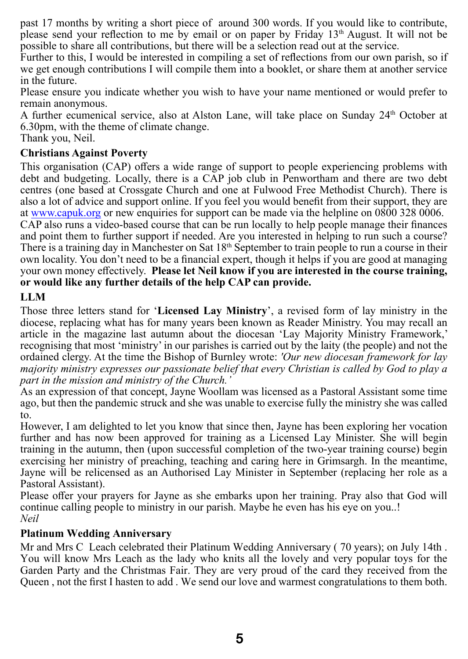past 17 months by writing a short piece of around 300 words. If you would like to contribute, please send your reflection to me by email or on paper by Friday 13th August. It will not be possible to share all contributions, but there will be a selection read out at the service.

Further to this, I would be interested in compiling a set of reflections from our own parish, so if we get enough contributions I will compile them into a booklet, or share them at another service in the future.

Please ensure you indicate whether you wish to have your name mentioned or would prefer to remain anonymous.

A further ecumenical service, also at Alston Lane, will take place on Sunday 24th October at 6.30pm, with the theme of climate change.

Thank you, Neil.

#### **Christians Against Poverty**

This organisation (CAP) offers a wide range of support to people experiencing problems with debt and budgeting. Locally, there is a CAP job club in Penwortham and there are two debt centres (one based at Crossgate Church and one at Fulwood Free Methodist Church). There is also a lot of advice and support online. If you feel you would benefit from their support, they are at www.capuk.org or new enquiries for support can be made via the helpline on 0800 328 0006.

CAP also runs a video-based course that can be run locally to help people manage their finances and point them to further support if needed. Are you interested in helping to run such a course? There is a training day in Manchester on Sat  $18<sup>th</sup>$  September to train people to run a course in their own locality. You don't need to be a financial expert, though it helps if you are good at managing your own money effectively. **Please let Neil know if you are interested in the course training, or would like any further details of the help CAP can provide.**

#### **LLM**

Those three letters stand for '**Licensed Lay Ministry**', a revised form of lay ministry in the diocese, replacing what has for many years been known as Reader Ministry. You may recall an article in the magazine last autumn about the diocesan 'Lay Majority Ministry Framework,' recognising that most 'ministry' in our parishes is carried out by the laity (the people) and not the ordained clergy. At the time the Bishop of Burnley wrote: *'Our new diocesan framework for lay majority ministry expresses our passionate belief that every Christian is called by God to play a part in the mission and ministry of the Church.'*

As an expression of that concept, Jayne Woollam was licensed as a Pastoral Assistant some time ago, but then the pandemic struck and she was unable to exercise fully the ministry she was called to.

However, I am delighted to let you know that since then, Jayne has been exploring her vocation further and has now been approved for training as a Licensed Lay Minister. She will begin training in the autumn, then (upon successful completion of the two-year training course) begin exercising her ministry of preaching, teaching and caring here in Grimsargh. In the meantime, Jayne will be relicensed as an Authorised Lay Minister in September (replacing her role as a Pastoral Assistant).

Please offer your prayers for Jayne as she embarks upon her training. Pray also that God will continue calling people to ministry in our parish. Maybe he even has his eye on you..! *Neil*

#### **Platinum Wedding Anniversary**

Mr and Mrs C Leach celebrated their Platinum Wedding Anniversary ( 70 years); on July 14th . You will know Mrs Leach as the lady who knits all the lovely and very popular toys for the Garden Party and the Christmas Fair. They are very proud of the card they received from the Queen , not the first I hasten to add . We send our love and warmest congratulations to them both.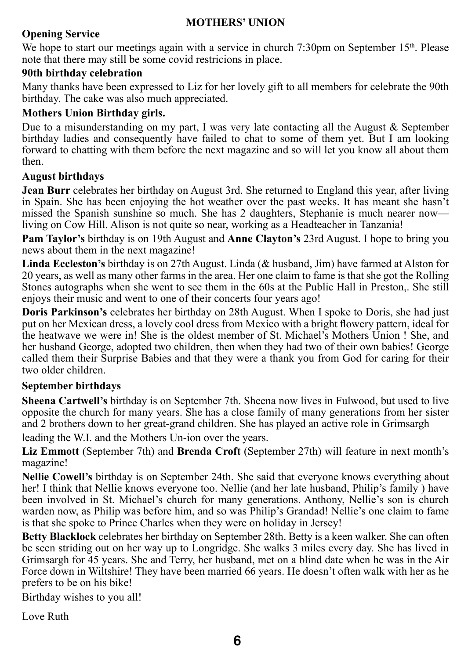#### **MOTHERS' UNION**

#### **Opening Service**

We hope to start our meetings again with a service in church 7:30pm on September 15<sup>th</sup>. Please note that there may still be some covid restricions in place.

#### **90th birthday celebration**

Many thanks have been expressed to Liz for her lovely gift to all members for celebrate the 90th birthday. The cake was also much appreciated.

#### **Mothers Union Birthday girls.**

Due to a misunderstanding on my part, I was very late contacting all the August  $\&$  September birthday ladies and consequently have failed to chat to some of them yet. But I am looking forward to chatting with them before the next magazine and so will let you know all about them then.

#### **August birthdays**

**Jean Burr** celebrates her birthday on August 3rd. She returned to England this year, after living in Spain. She has been enjoying the hot weather over the past weeks. It has meant she hasn't missed the Spanish sunshine so much. She has 2 daughters, Stephanie is much nearer now living on Cow Hill. Alison is not quite so near, working as a Headteacher in Tanzania!

**Pam Taylor's** birthday is on 19th August and **Anne Clayton's** 23rd August. I hope to bring you news about them in the next magazine!

**Linda Eccleston's** birthday is on 27th August. Linda (& husband, Jim) have farmed at Alston for 20 years, as well as many other farms in the area. Her one claim to fame is that she got the Rolling Stones autographs when she went to see them in the 60s at the Public Hall in Preston,. She still enjoys their music and went to one of their concerts four years ago!

**Doris Parkinson's** celebrates her birthday on 28th August. When I spoke to Doris, she had just put on her Mexican dress, a lovely cool dress from Mexico with a bright flowery pattern, ideal for the heatwave we were in! She is the oldest member of St. Michael's Mothers Union ! She, and her husband George, adopted two children, then when they had two of their own babies! George called them their Surprise Babies and that they were a thank you from God for caring for their two older children.

#### **September birthdays**

**Sheena Cartwell's** birthday is on September 7th. Sheena now lives in Fulwood, but used to live opposite the church for many years. She has a close family of many generations from her sister and 2 brothers down to her great-grand children. She has played an active role in Grimsargh

leading the W.I. and the Mothers Un-ion over the years.

**Liz Emmott** (September 7th) and **Brenda Croft** (September 27th) will feature in next month's magazine!

**Nellie Cowell's** birthday is on September 24th. She said that everyone knows everything about her! I think that Nellie knows everyone too. Nellie (and her late husband, Philip's family ) have been involved in St. Michael's church for many generations. Anthony, Nellie's son is church warden now, as Philip was before him, and so was Philip's Grandad! Nellie's one claim to fame is that she spoke to Prince Charles when they were on holiday in Jersey!

**Betty Blacklock** celebrates her birthday on September 28th. Betty is a keen walker. She can often be seen striding out on her way up to Longridge. She walks 3 miles every day. She has lived in Grimsargh for 45 years. She and Terry, her husband, met on a blind date when he was in the Air Force down in Wiltshire! They have been married 66 years. He doesn't often walk with her as he prefers to be on his bike!

Birthday wishes to you all!

Love Ruth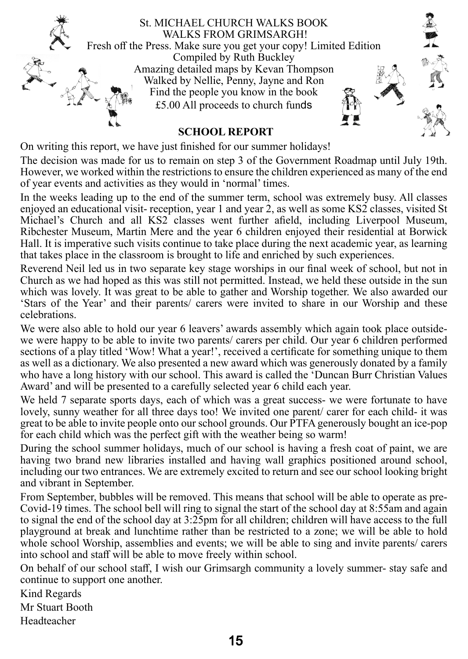

On writing this report, we have just finished for our summer holidays!

The decision was made for us to remain on step 3 of the Government Roadmap until July 19th. However, we worked within the restrictions to ensure the children experienced as many of the end of year events and activities as they would in 'normal' times.

In the weeks leading up to the end of the summer term, school was extremely busy. All classes enjoyed an educational visit- reception, year 1 and year 2, as well as some KS2 classes, visited St Michael's Church and all KS2 classes went further afield, including Liverpool Museum, Ribchester Museum, Martin Mere and the year 6 children enjoyed their residential at Borwick Hall. It is imperative such visits continue to take place during the next academic year, as learning that takes place in the classroom is brought to life and enriched by such experiences.

Reverend Neil led us in two separate key stage worships in our final week of school, but not in Church as we had hoped as this was still not permitted. Instead, we held these outside in the sun which was lovely. It was great to be able to gather and Worship together. We also awarded our 'Stars of the Year' and their parents/ carers were invited to share in our Worship and these celebrations.

We were also able to hold our year 6 leavers' awards assembly which again took place outsidewe were happy to be able to invite two parents/ carers per child. Our year 6 children performed sections of a play titled 'Wow! What a year!', received a certificate for something unique to them as well as a dictionary. We also presented a new award which was generously donated by a family who have a long history with our school. This award is called the 'Duncan Burr Christian Values Award' and will be presented to a carefully selected year 6 child each year.

We held 7 separate sports days, each of which was a great success- we were fortunate to have lovely, sunny weather for all three days too! We invited one parent/ carer for each child- it was great to be able to invite people onto our school grounds. Our PTFA generously bought an ice-pop for each child which was the perfect gift with the weather being so warm!

During the school summer holidays, much of our school is having a fresh coat of paint, we are having two brand new libraries installed and having wall graphics positioned around school, including our two entrances. We are extremely excited to return and see our school looking bright and vibrant in September.

From September, bubbles will be removed. This means that school will be able to operate as pre-Covid-19 times. The school bell will ring to signal the start of the school day at 8:55am and again to signal the end of the school day at 3:25pm for all children; children will have access to the full playground at break and lunchtime rather than be restricted to a zone; we will be able to hold whole school Worship, assemblies and events; we will be able to sing and invite parents/ carers into school and staff will be able to move freely within school.

On behalf of our school staff, I wish our Grimsargh community a lovely summer- stay safe and continue to support one another.

Kind Regards Mr Stuart Booth Headteacher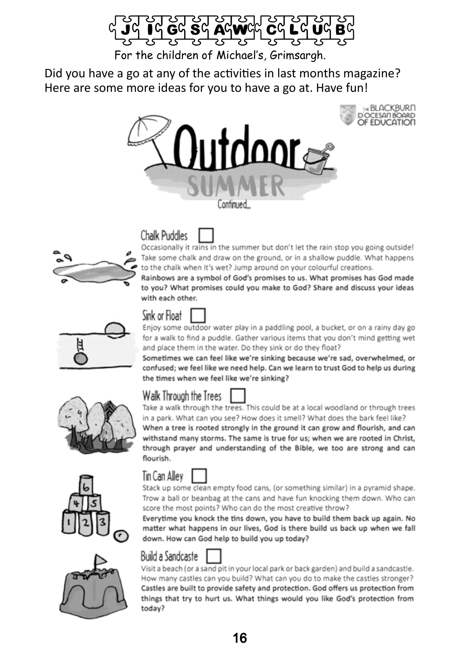

For the children of Michael's, Grimsargh.

Did you have a go at any of the activities in last months magazine? Here are some more ideas for you to have a go at. Have fun!





# **Chalk Puddles**

Occasionally it rains in the summer but don't let the rain stop you going outside! Take some chalk and draw on the ground, or in a shallow puddle. What happens to the chalk when it's wet? Jump around on your colourful creations.

Rainbows are a symbol of God's promises to us. What promises has God made to you? What promises could you make to God? Share and discuss your ideas with each other.



# Sink or Float

Enjoy some outdoor water play in a paddling pool, a bucket, or on a rainy day go for a walk to find a puddle. Gather various items that you don't mind getting wet and place them in the water. Do they sink or do they float?

Sometimes we can feel like we're sinking because we're sad, overwhelmed, or confused; we feel like we need help. Can we learn to trust God to help us during the times when we feel like we're sinking?







Take a walk through the trees. This could be at a local woodland or through trees in a park. What can you see? How does it smell? What does the bark feel like? When a tree is rooted strongly in the ground it can grow and flourish, and can withstand many storms. The same is true for us; when we are rooted in Christ, through prayer and understanding of the Bible, we too are strong and can flourish.







Stack up some clean empty food cans, (or something similar) in a pyramid shape. Trow a ball or beanbag at the cans and have fun knocking them down. Who can score the most points? Who can do the most creative throw?

Everytime you knock the tins down, you have to build them back up again. No matter what happens in our lives, God is there build us back up when we fall down. How can God help to build you up today?



Visit a beach (or a sand pit in your local park or back garden) and build a sandcastle. How many castles can you build? What can you do to make the castles stronger? Castles are built to provide safety and protection. God offers us protection from things that try to hurt us. What things would you like God's protection from today?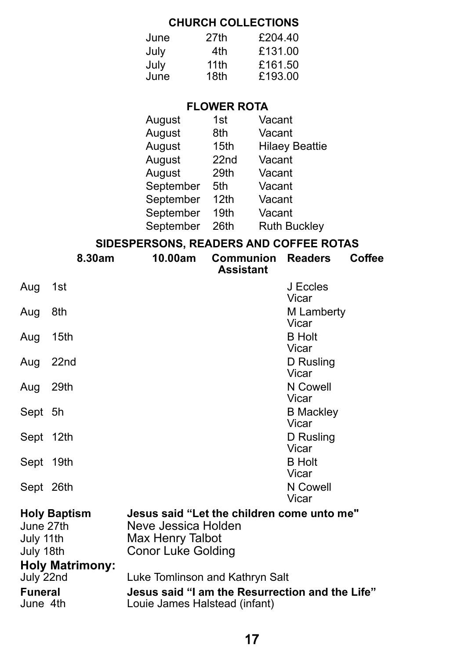### **CHURCH COLLECTIONS**

| June | 27th | £204.40 |
|------|------|---------|
| Julv | 4th  | £131.00 |
| July | 11th | £161.50 |
| June | 18th | £193.00 |
|      |      |         |

### **FLOWER ROTA**

| 1st  | Vacant                |
|------|-----------------------|
| 8th  | Vacant                |
| 15th | <b>Hilaey Beattie</b> |
| 22nd | Vacant                |
| 29th | Vacant                |
| 5th  | Vacant                |
| 12th | Vacant                |
| 19th | Vacant                |
| 26th | <b>Ruth Buckley</b>   |
|      |                       |

### **SIDESPERSONS, READERS AND COFFEE ROTAS**

|                                     | 8.30am                 | 10.00am                                                                                                            | <b>Communion</b><br><b>Assistant</b> | <b>Readers</b>                  | Coffee |
|-------------------------------------|------------------------|--------------------------------------------------------------------------------------------------------------------|--------------------------------------|---------------------------------|--------|
| Aug                                 | 1st                    |                                                                                                                    |                                      | J Eccles<br>Vicar               |        |
| Aug                                 | 8th                    |                                                                                                                    |                                      | M Lamberty<br>Vicar             |        |
| Aug                                 | 15th                   |                                                                                                                    |                                      | <b>B</b> Holt                   |        |
| Aug                                 | 22nd                   |                                                                                                                    |                                      | Vicar<br>D Rusling<br>Vicar     |        |
| Aug                                 | 29th                   |                                                                                                                    |                                      | N Cowell<br>Vicar               |        |
| Sept 5h                             |                        |                                                                                                                    |                                      | <b>B</b> Mackley<br>Vicar       |        |
| Sept 12th                           |                        |                                                                                                                    |                                      | D Rusling                       |        |
| Sept 19th                           |                        |                                                                                                                    |                                      | Vicar<br><b>B</b> Holt<br>Vicar |        |
| Sept 26th                           |                        |                                                                                                                    |                                      | N Cowell<br>Vicar               |        |
| June 27th<br>July 11th<br>July 18th | <b>Holy Baptism</b>    | Jesus said "Let the children come unto me"<br>Neve Jessica Holden<br>Max Henry Talbot<br><b>Conor Luke Golding</b> |                                      |                                 |        |
| July 22nd                           | <b>Holy Matrimony:</b> | Luke Tomlinson and Kathryn Salt                                                                                    |                                      |                                 |        |
| <b>Funeral</b><br>June 4th          |                        | Jesus said "I am the Resurrection and the Life"<br>Louie James Halstead (infant)                                   |                                      |                                 |        |